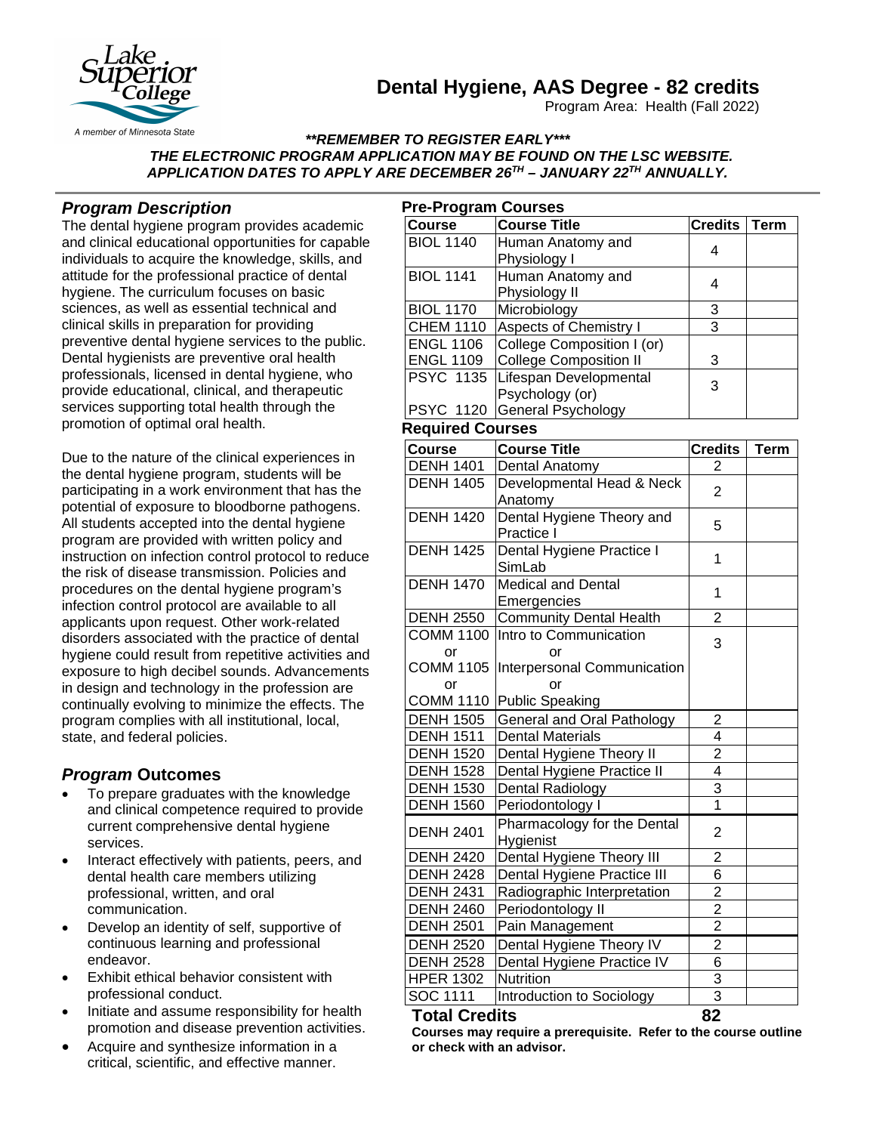# **Dental Hygiene, AAS Degree - 82 credits**

Program Area: Health (Fall 2022)



A member of Minnesota State

### *\*\*REMEMBER TO REGISTER EARLY\*\*\* THE ELECTRONIC PROGRAM APPLICATION MAY BE FOUND ON THE LSC WEBSITE. APPLICATION DATES TO APPLY ARE DECEMBER 26TH – JANUARY 22TH ANNUALLY.*

## *Program Description*

The dental hygiene program provides academic and clinical educational opportunities for capable individuals to acquire the knowledge, skills, and attitude for the professional practice of dental hygiene. The curriculum focuses on basic sciences, as well as essential technical and clinical skills in preparation for providing preventive dental hygiene services to the public. Dental hygienists are preventive oral health professionals, licensed in dental hygiene, who provide educational, clinical, and therapeutic services supporting total health through the promotion of optimal oral health.

Due to the nature of the clinical experiences in the dental hygiene program, students will be participating in a work environment that has the potential of exposure to bloodborne pathogens. All students accepted into the dental hygiene program are provided with written policy and instruction on infection control protocol to reduce the risk of disease transmission. Policies and procedures on the dental hygiene program's infection control protocol are available to all applicants upon request. Other work-related disorders associated with the practice of dental hygiene could result from repetitive activities and exposure to high decibel sounds. Advancements in design and technology in the profession are continually evolving to minimize the effects. The program complies with all institutional, local, state, and federal policies.

# *Program* **Outcomes**

- To prepare graduates with the knowledge and clinical competence required to provide current comprehensive dental hygiene services.
- Interact effectively with patients, peers, and dental health care members utilizing professional, written, and oral communication.
- Develop an identity of self, supportive of continuous learning and professional endeavor.
- Exhibit ethical behavior consistent with professional conduct.
- Initiate and assume responsibility for health promotion and disease prevention activities.
- Acquire and synthesize information in a critical, scientific, and effective manner.

| <b>Pre-Program Courses</b> |                                   |                         |             |
|----------------------------|-----------------------------------|-------------------------|-------------|
| <b>Course</b>              | <b>Course Title</b>               | <b>Credits</b>          | <b>Term</b> |
| <b>BIOL 1140</b>           | Human Anatomy and<br>Physiology I | 4                       |             |
| <b>BIOL 1141</b>           | Human Anatomy and                 |                         |             |
|                            | Physiology II                     | 4                       |             |
| <b>BIOL 1170</b>           | Microbiology                      | 3                       |             |
| <b>CHEM 1110</b>           | <b>Aspects of Chemistry I</b>     | 3                       |             |
| <b>ENGL 1106</b>           | College Composition I (or)        |                         |             |
| <b>ENGL 1109</b>           | <b>College Composition II</b>     | 3                       |             |
| <b>PSYC 1135</b>           | Lifespan Developmental            |                         |             |
|                            | Psychology (or)                   | 3                       |             |
| <b>PSYC 1120</b>           | General Psychology                |                         |             |
| <b>Required Courses</b>    |                                   |                         |             |
| Course                     | <b>Course Title</b>               | <b>Credits</b>          | Term        |
| <b>DENH 1401</b>           | Dental Anatomy                    | 2                       |             |
| <b>DENH 1405</b>           | Developmental Head & Neck         |                         |             |
|                            | Anatomy                           | $\overline{2}$          |             |
| <b>DENH 1420</b>           | Dental Hygiene Theory and         |                         |             |
|                            | Practice I                        | 5                       |             |
| <b>DENH 1425</b>           | Dental Hygiene Practice I         | 1                       |             |
|                            | SimLab                            |                         |             |
| <b>DENH 1470</b>           | <b>Medical and Dental</b>         |                         |             |
|                            | Emergencies                       | 1                       |             |
| <b>DENH 2550</b>           | <b>Community Dental Health</b>    | $\overline{2}$          |             |
| <b>COMM 1100</b>           | Intro to Communication            | 3                       |             |
| or                         | or                                |                         |             |
| <b>COMM 1105</b>           | Interpersonal Communication       |                         |             |
| or                         | or                                |                         |             |
| <b>COMM 1110</b>           | Public Speaking                   |                         |             |
| <b>DENH 1505</b>           | General and Oral Pathology        | $\overline{2}$          |             |
| <b>DENH 1511</b>           | <b>Dental Materials</b>           | 4                       |             |
| <b>DENH 1520</b>           | Dental Hygiene Theory II          | 2                       |             |
| <b>DENH 1528</b>           | Dental Hygiene Practice II        | 4                       |             |
| <b>DENH 1530</b>           | Dental Radiology                  | 3                       |             |
| <b>DENH 1560</b>           | Periodontology I                  | $\overline{1}$          |             |
| <b>DENH 2401</b>           | Pharmacology for the Dental       | $\overline{2}$          |             |
|                            | Hygienist                         |                         |             |
| <b>DENH 2420</b>           | Dental Hygiene Theory III         | 2                       |             |
| <b>DENH 2428</b>           | Dental Hygiene Practice III       | 6                       |             |
| <b>DENH 2431</b>           | Radiographic Interpretation       | $\overline{\mathbf{c}}$ |             |
| <b>DENH 2460</b>           | Periodontology II                 | $\overline{2}$          |             |
| <b>DENH 2501</b>           | Pain Management                   | $\overline{2}$          |             |
| <b>DENH 2520</b>           | Dental Hygiene Theory IV          | $\overline{c}$          |             |
| <b>DENH 2528</b>           | Dental Hygiene Practice IV        | 6                       |             |
| <b>HPER 1302</b>           | Nutrition                         | 3                       |             |
| SOC 1111                   | Introduction to Sociology         | 3                       |             |
| <b>Total Credits</b>       |                                   | 82                      |             |

**Courses may require a prerequisite. Refer to the course outline or check with an advisor.**